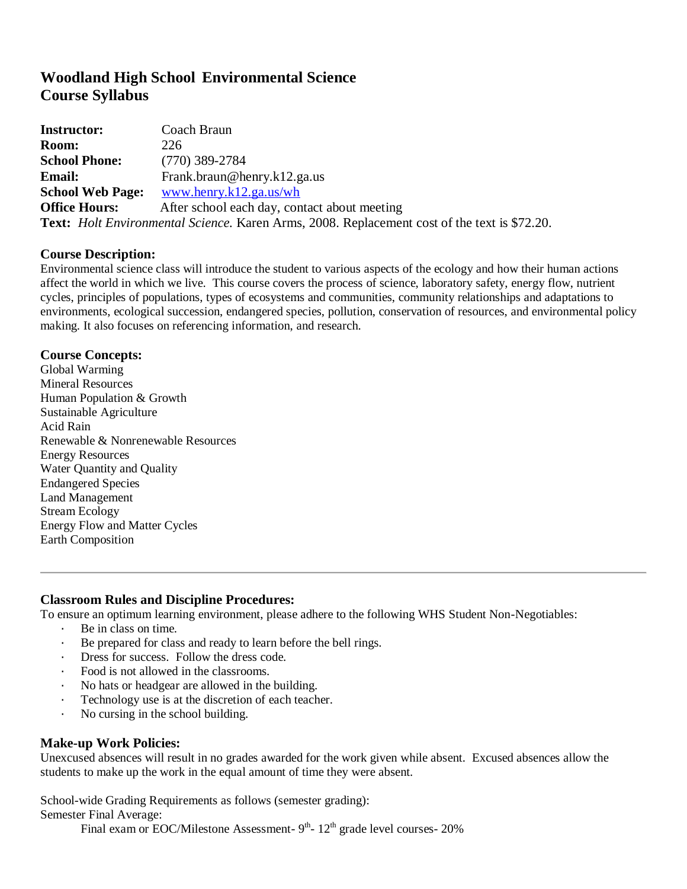# **Woodland High School Environmental Science Course Syllabus**

| <b>Instructor:</b>      | Coach Braun                                                                                                 |
|-------------------------|-------------------------------------------------------------------------------------------------------------|
| <b>Room:</b>            | 226                                                                                                         |
| <b>School Phone:</b>    | $(770)$ 389-2784                                                                                            |
| <b>Email:</b>           | Frank.braun@henry.k12.ga.us                                                                                 |
| <b>School Web Page:</b> | www.henry.k12.ga.us/wh                                                                                      |
| <b>Office Hours:</b>    | After school each day, contact about meeting                                                                |
|                         | <b>Text:</b> <i>Holt Environmental Science</i> . Karen Arms, 2008. Replacement cost of the text is \$72.20. |

## **Course Description:**

Environmental science class will introduce the student to various aspects of the ecology and how their human actions affect the world in which we live. This course covers the process of science, laboratory safety, energy flow, nutrient cycles, principles of populations, types of ecosystems and communities, community relationships and adaptations to environments, ecological succession, endangered species, pollution, conservation of resources, and environmental policy making. It also focuses on referencing information, and research.

## **Course Concepts:**

Global Warming Mineral Resources Human Population & Growth Sustainable Agriculture Acid Rain Renewable & Nonrenewable Resources Energy Resources Water Quantity and Quality Endangered Species Land Management Stream Ecology Energy Flow and Matter Cycles Earth Composition

# **Classroom Rules and Discipline Procedures:**

To ensure an optimum learning environment, please adhere to the following WHS Student Non-Negotiables:

- ∙ Be in class on time.
- ∙ Be prepared for class and ready to learn before the bell rings.
- ∙ Dress for success. Follow the dress code.
- ∙ Food is not allowed in the classrooms.
- ∙ No hats or headgear are allowed in the building.
- Technology use is at the discretion of each teacher.
- ∙ No cursing in the school building.

#### **Make-up Work Policies:**

Unexcused absences will result in no grades awarded for the work given while absent. Excused absences allow the students to make up the work in the equal amount of time they were absent.

School-wide Grading Requirements as follows (semester grading):

Semester Final Average:

Final exam or EOC/Milestone Assessment-  $9<sup>th</sup>$ -  $12<sup>th</sup>$  grade level courses- 20%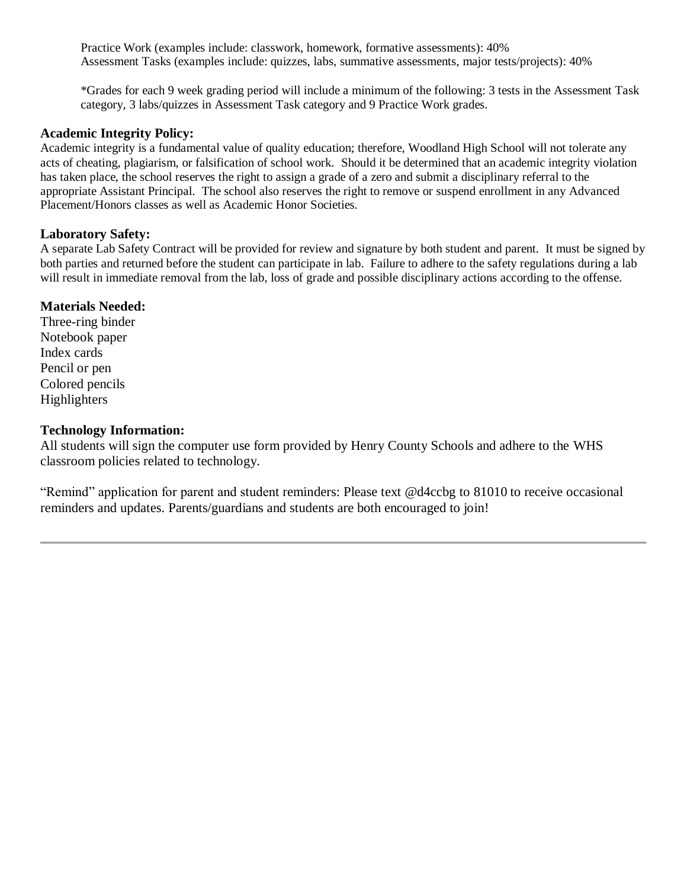Practice Work (examples include: classwork, homework, formative assessments): 40% Assessment Tasks (examples include: quizzes, labs, summative assessments, major tests/projects): 40%

\*Grades for each 9 week grading period will include a minimum of the following: 3 tests in the Assessment Task category, 3 labs/quizzes in Assessment Task category and 9 Practice Work grades.

# **Academic Integrity Policy:**

Academic integrity is a fundamental value of quality education; therefore, Woodland High School will not tolerate any acts of cheating, plagiarism, or falsification of school work. Should it be determined that an academic integrity violation has taken place, the school reserves the right to assign a grade of a zero and submit a disciplinary referral to the appropriate Assistant Principal. The school also reserves the right to remove or suspend enrollment in any Advanced Placement/Honors classes as well as Academic Honor Societies.

# **Laboratory Safety:**

A separate Lab Safety Contract will be provided for review and signature by both student and parent. It must be signed by both parties and returned before the student can participate in lab. Failure to adhere to the safety regulations during a lab will result in immediate removal from the lab, loss of grade and possible disciplinary actions according to the offense.

# **Materials Needed:**

Three-ring binder Notebook paper Index cards Pencil or pen Colored pencils **Highlighters** 

## **Technology Information:**

All students will sign the computer use form provided by Henry County Schools and adhere to the WHS classroom policies related to technology.

"Remind" application for parent and student reminders: Please text @d4ccbg to 81010 to receive occasional reminders and updates. Parents/guardians and students are both encouraged to join!